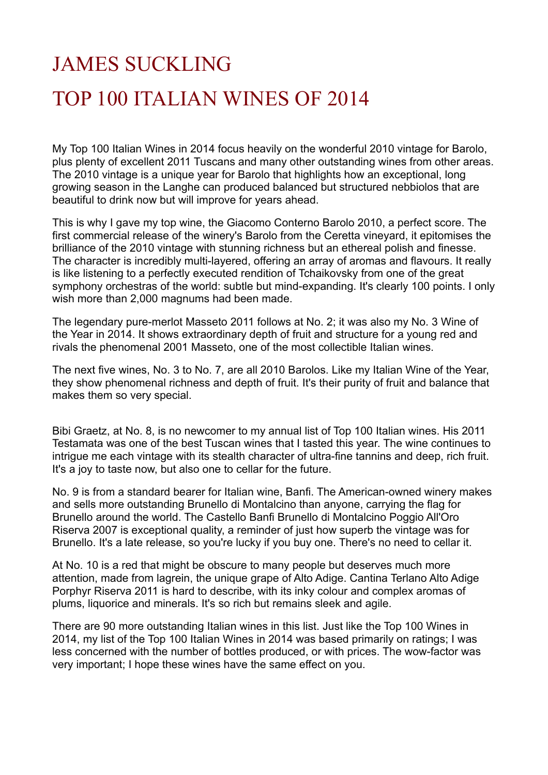## JAMES SUCKLING TOP 100 ITALIAN WINES OF 2014

My Top 100 Italian Wines in 2014 focus heavily on the wonderful 2010 vintage for Barolo, plus plenty of excellent 2011 Tuscans and many other outstanding wines from other areas. The 2010 vintage is a unique year for Barolo that highlights how an exceptional, long growing season in the Langhe can produced balanced but structured nebbiolos that are beautiful to drink now but will improve for years ahead.

This is why I gave my top wine, the Giacomo Conterno Barolo 2010, a perfect score. The first commercial release of the winery's Barolo from the Ceretta vineyard, it epitomises the brilliance of the 2010 vintage with stunning richness but an ethereal polish and finesse. The character is incredibly multi-layered, offering an array of aromas and flavours. It really is like listening to a perfectly executed rendition of Tchaikovsky from one of the great symphony orchestras of the world: subtle but mind-expanding. It's clearly 100 points. I only wish more than 2,000 magnums had been made.

The legendary pure-merlot Masseto 2011 follows at No. 2; it was also my No. 3 Wine of the Year in 2014. It shows extraordinary depth of fruit and structure for a young red and rivals the phenomenal 2001 Masseto, one of the most collectible Italian wines.

The next five wines, No. 3 to No. 7, are all 2010 Barolos. Like my Italian Wine of the Year, they show phenomenal richness and depth of fruit. It's their purity of fruit and balance that makes them so very special.

Bibi Graetz, at No. 8, is no newcomer to my annual list of Top 100 Italian wines. His 2011 Testamata was one of the best Tuscan wines that I tasted this year. The wine continues to intrigue me each vintage with its stealth character of ultra-fine tannins and deep, rich fruit. It's a joy to taste now, but also one to cellar for the future.

No. 9 is from a standard bearer for Italian wine, Banfi. The American-owned winery makes and sells more outstanding Brunello di Montalcino than anyone, carrying the flag for Brunello around the world. The Castello Banfi Brunello di Montalcino Poggio All'Oro Riserva 2007 is exceptional quality, a reminder of just how superb the vintage was for Brunello. It's a late release, so you're lucky if you buy one. There's no need to cellar it.

At No. 10 is a red that might be obscure to many people but deserves much more attention, made from lagrein, the unique grape of Alto Adige. Cantina Terlano Alto Adige Porphyr Riserva 2011 is hard to describe, with its inky colour and complex aromas of plums, liquorice and minerals. It's so rich but remains sleek and agile.

There are 90 more outstanding Italian wines in this list. Just like the Top 100 Wines in 2014, my list of the Top 100 Italian Wines in 2014 was based primarily on ratings; I was less concerned with the number of bottles produced, or with prices. The wow-factor was very important; I hope these wines have the same effect on you.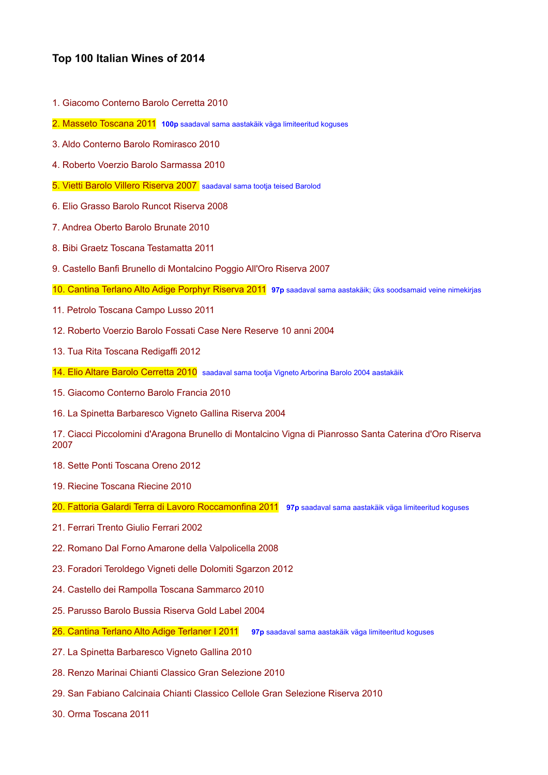## **Top 100 Italian Wines of 2014**

- 1. Giacomo Conterno Barolo Cerretta 2010
- 2. Masseto Toscana 2011 **100p** saadaval sama aastakäik väga limiteeritud koguses
- 3. Aldo Conterno Barolo Romirasco 2010
- 4. Roberto Voerzio Barolo Sarmassa 2010
- 5. Vietti Barolo Villero Riserva 2007 saadaval sama tootja teised Barolod
- 6. Elio Grasso Barolo Runcot Riserva 2008
- 7. Andrea Oberto Barolo Brunate 2010
- 8. Bibi Graetz Toscana Testamatta 2011
- 9. Castello Banfi Brunello di Montalcino Poggio All'Oro Riserva 2007
- 10. Cantina Terlano Alto Adige Porphyr Riserva 2011 **97p** saadaval sama aastakäik; üks soodsamaid veine nimekirjas
- 11. Petrolo Toscana Campo Lusso 2011
- 12. Roberto Voerzio Barolo Fossati Case Nere Reserve 10 anni 2004
- 13. Tua Rita Toscana Redigaffi 2012
- 14. Elio Altare Barolo Cerretta 2010 saadaval sama tootja Vigneto Arborina Barolo 2004 aastakäik
- 15. Giacomo Conterno Barolo Francia 2010
- 16. La Spinetta Barbaresco Vigneto Gallina Riserva 2004

17. Ciacci Piccolomini d'Aragona Brunello di Montalcino Vigna di Pianrosso Santa Caterina d'Oro Riserva 2007

- 18. Sette Ponti Toscana Oreno 2012
- 19. Riecine Toscana Riecine 2010
- 20. Fattoria Galardi Terra di Lavoro Roccamonfina 2011 **97p** saadaval sama aastakäik väga limiteeritud koguses
- 21. Ferrari Trento Giulio Ferrari 2002
- 22. Romano Dal Forno Amarone della Valpolicella 2008
- 23. Foradori Teroldego Vigneti delle Dolomiti Sgarzon 2012
- 24. Castello dei Rampolla Toscana Sammarco 2010
- 25. Parusso Barolo Bussia Riserva Gold Label 2004
- 26. Cantina Terlano Alto Adige Terlaner I 2011 **97p** saadaval sama aastakäik väga limiteeritud koguses
- 27. La Spinetta Barbaresco Vigneto Gallina 2010
- 28. Renzo Marinai Chianti Classico Gran Selezione 2010
- 29. San Fabiano Calcinaia Chianti Classico Cellole Gran Selezione Riserva 2010
- 30. Orma Toscana 2011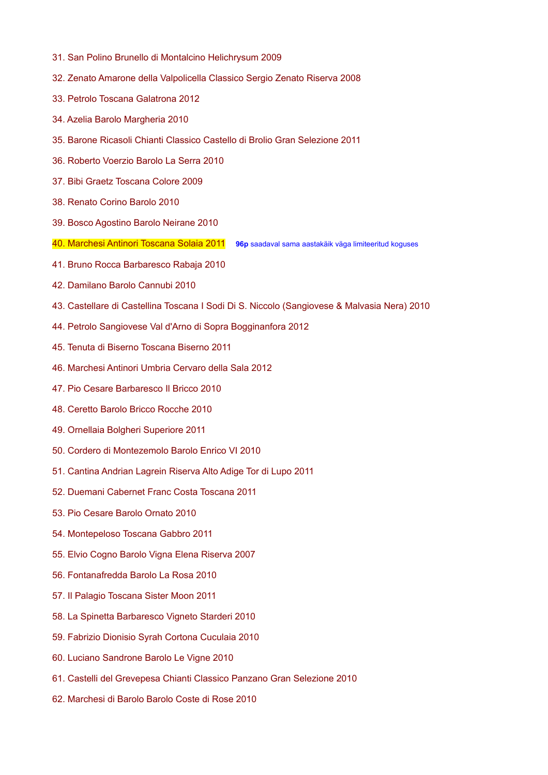- 31. San Polino Brunello di Montalcino Helichrysum 2009
- 32. Zenato Amarone della Valpolicella Classico Sergio Zenato Riserva 2008
- 33. Petrolo Toscana Galatrona 2012
- 34. Azelia Barolo Margheria 2010
- 35. Barone Ricasoli Chianti Classico Castello di Brolio Gran Selezione 2011
- 36. Roberto Voerzio Barolo La Serra 2010
- 37. Bibi Graetz Toscana Colore 2009
- 38. Renato Corino Barolo 2010
- 39. Bosco Agostino Barolo Neirane 2010
- 40. Marchesi Antinori Toscana Solaia 2011 **96p** saadaval sama aastakäik väga limiteeritud koguses
- 41. Bruno Rocca Barbaresco Rabaja 2010
- 42. Damilano Barolo Cannubi 2010
- 43. Castellare di Castellina Toscana I Sodi Di S. Niccolo (Sangiovese & Malvasia Nera) 2010
- 44. Petrolo Sangiovese Val d'Arno di Sopra Bogginanfora 2012
- 45. Tenuta di Biserno Toscana Biserno 2011
- 46. Marchesi Antinori Umbria Cervaro della Sala 2012
- 47. Pio Cesare Barbaresco Il Bricco 2010
- 48. Ceretto Barolo Bricco Rocche 2010
- 49. Ornellaia Bolgheri Superiore 2011
- 50. Cordero di Montezemolo Barolo Enrico VI 2010
- 51. Cantina Andrian Lagrein Riserva Alto Adige Tor di Lupo 2011
- 52. Duemani Cabernet Franc Costa Toscana 2011
- 53. Pio Cesare Barolo Ornato 2010
- 54. Montepeloso Toscana Gabbro 2011
- 55. Elvio Cogno Barolo Vigna Elena Riserva 2007
- 56. Fontanafredda Barolo La Rosa 2010
- 57. Il Palagio Toscana Sister Moon 2011
- 58. La Spinetta Barbaresco Vigneto Starderi 2010
- 59. Fabrizio Dionisio Syrah Cortona Cuculaia 2010
- 60. Luciano Sandrone Barolo Le Vigne 2010
- 61. Castelli del Grevepesa Chianti Classico Panzano Gran Selezione 2010
- 62. Marchesi di Barolo Barolo Coste di Rose 2010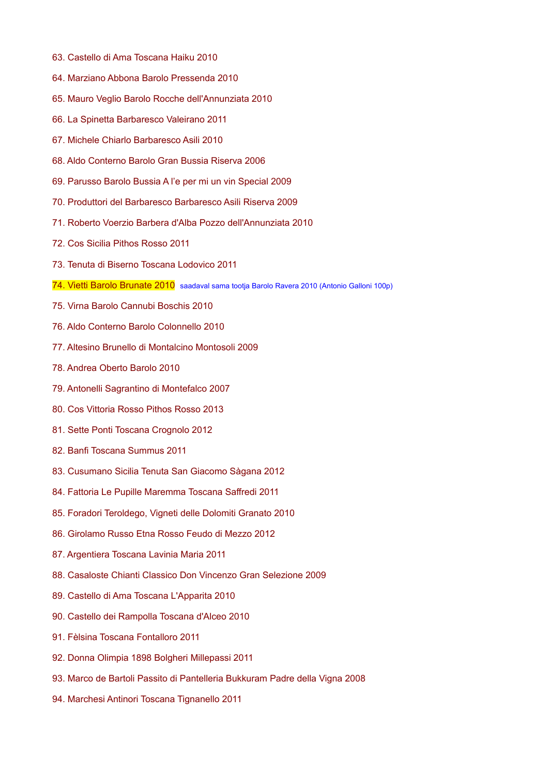- 63. Castello di Ama Toscana Haiku 2010
- 64. Marziano Abbona Barolo Pressenda 2010
- 65. Mauro Veglio Barolo Rocche dell'Annunziata 2010
- 66. La Spinetta Barbaresco Valeirano 2011
- 67. Michele Chiarlo Barbaresco Asili 2010
- 68. Aldo Conterno Barolo Gran Bussia Riserva 2006
- 69. Parusso Barolo Bussia A l'e per mi un vin Special 2009
- 70. Produttori del Barbaresco Barbaresco Asili Riserva 2009
- 71. Roberto Voerzio Barbera d'Alba Pozzo dell'Annunziata 2010
- 72. Cos Sicilia Pithos Rosso 2011
- 73. Tenuta di Biserno Toscana Lodovico 2011
- 74. Vietti Barolo Brunate 2010 saadaval sama tootja Barolo Ravera 2010 (Antonio Galloni 100p)
- 75. Virna Barolo Cannubi Boschis 2010
- 76. Aldo Conterno Barolo Colonnello 2010
- 77. Altesino Brunello di Montalcino Montosoli 2009
- 78. Andrea Oberto Barolo 2010
- 79. Antonelli Sagrantino di Montefalco 2007
- 80. Cos Vittoria Rosso Pithos Rosso 2013
- 81. Sette Ponti Toscana Crognolo 2012
- 82. Banfi Toscana Summus 2011
- 83. Cusumano Sicilia Tenuta San Giacomo Sàgana 2012
- 84. Fattoria Le Pupille Maremma Toscana Saffredi 2011
- 85. Foradori Teroldego, Vigneti delle Dolomiti Granato 2010
- 86. Girolamo Russo Etna Rosso Feudo di Mezzo 2012
- 87. Argentiera Toscana Lavinia Maria 2011
- 88. Casaloste Chianti Classico Don Vincenzo Gran Selezione 2009
- 89. Castello di Ama Toscana L'Apparita 2010
- 90. Castello dei Rampolla Toscana d'Alceo 2010
- 91. Fèlsina Toscana Fontalloro 2011
- 92. Donna Olimpia 1898 Bolgheri Millepassi 2011
- 93. Marco de Bartoli Passito di Pantelleria Bukkuram Padre della Vigna 2008
- 94. Marchesi Antinori Toscana Tignanello 2011